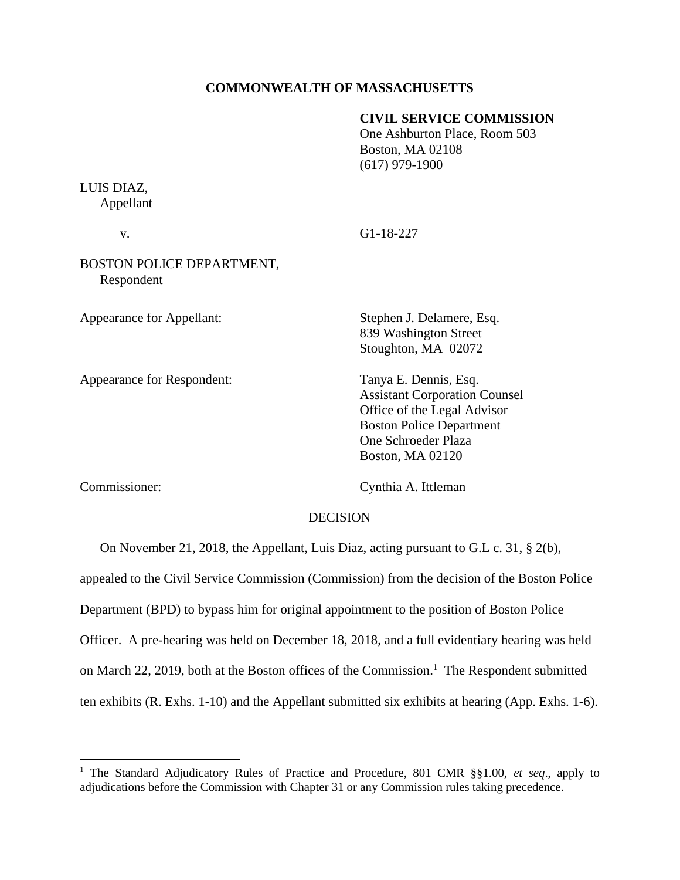### **COMMONWEALTH OF MASSACHUSETTS**

### **CIVIL SERVICE COMMISSION**

One Ashburton Place, Room 503 Boston, MA 02108 (617) 979-1900

# LUIS DIAZ, Appellant

v. G1-18-227

# BOSTON POLICE DEPARTMENT, Respondent

Appearance for Appellant: Stephen J. Delamere, Esq.

Appearance for Respondent: Tanya E. Dennis, Esq.

839 Washington Street Stoughton, MA 02072

Assistant Corporation Counsel Office of the Legal Advisor Boston Police Department One Schroeder Plaza Boston, MA 02120

Commissioner: Cynthia A. Ittleman

## DECISION

On November 21, 2018, the Appellant, Luis Diaz, acting pursuant to G.L c. 31, § 2(b),

appealed to the Civil Service Commission (Commission) from the decision of the Boston Police Department (BPD) to bypass him for original appointment to the position of Boston Police Officer. A pre-hearing was held on December 18, 2018, and a full evidentiary hearing was held on March 22, 2019, both at the Boston offices of the Commission.<sup>1</sup> The Respondent submitted ten exhibits (R. Exhs. 1-10) and the Appellant submitted six exhibits at hearing (App. Exhs. 1-6).

<sup>1</sup> The Standard Adjudicatory Rules of Practice and Procedure, 801 CMR §§1.00, *et seq*., apply to adjudications before the Commission with Chapter 31 or any Commission rules taking precedence.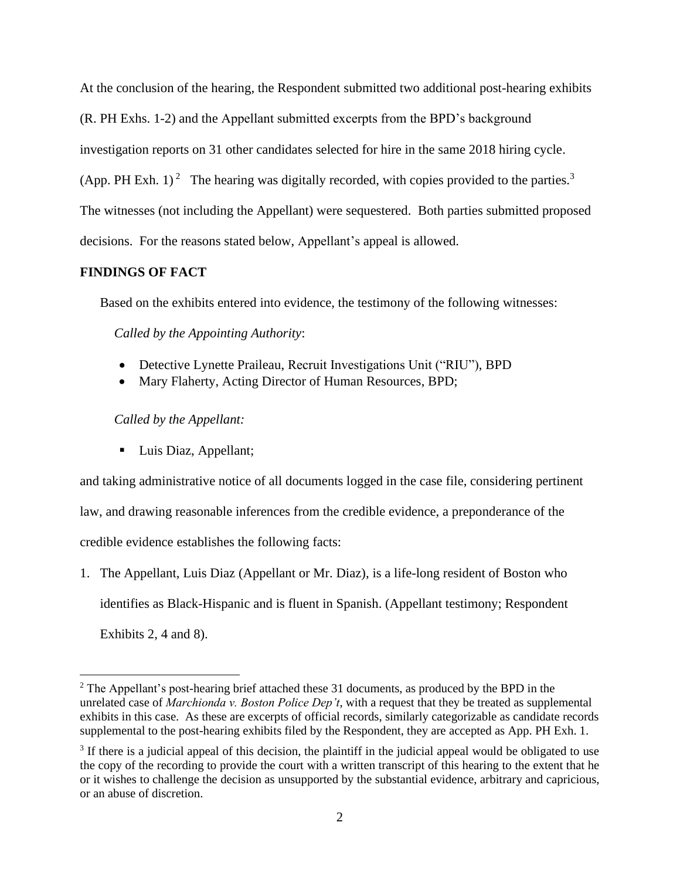At the conclusion of the hearing, the Respondent submitted two additional post-hearing exhibits

(R. PH Exhs. 1-2) and the Appellant submitted excerpts from the BPD's background

investigation reports on 31 other candidates selected for hire in the same 2018 hiring cycle.

(App. PH Exh. 1)<sup>2</sup> The hearing was digitally recorded, with copies provided to the parties.<sup>3</sup>

The witnesses (not including the Appellant) were sequestered. Both parties submitted proposed decisions. For the reasons stated below, Appellant's appeal is allowed.

# **FINDINGS OF FACT**

Based on the exhibits entered into evidence, the testimony of the following witnesses:

*Called by the Appointing Authority*:

- Detective Lynette Praileau, Recruit Investigations Unit ("RIU"), BPD
- Mary Flaherty, Acting Director of Human Resources, BPD;

*Called by the Appellant:*

■ Luis Diaz, Appellant;

and taking administrative notice of all documents logged in the case file, considering pertinent law, and drawing reasonable inferences from the credible evidence, a preponderance of the credible evidence establishes the following facts:

1. The Appellant, Luis Diaz (Appellant or Mr. Diaz), is a life-long resident of Boston who identifies as Black-Hispanic and is fluent in Spanish. (Appellant testimony; Respondent Exhibits 2, 4 and 8).

 $2$  The Appellant's post-hearing brief attached these 31 documents, as produced by the BPD in the unrelated case of *Marchionda v. Boston Police Dep't*, with a request that they be treated as supplemental exhibits in this case. As these are excerpts of official records, similarly categorizable as candidate records supplemental to the post-hearing exhibits filed by the Respondent, they are accepted as App. PH Exh. 1.

<sup>&</sup>lt;sup>3</sup> If there is a judicial appeal of this decision, the plaintiff in the judicial appeal would be obligated to use the copy of the recording to provide the court with a written transcript of this hearing to the extent that he or it wishes to challenge the decision as unsupported by the substantial evidence, arbitrary and capricious, or an abuse of discretion.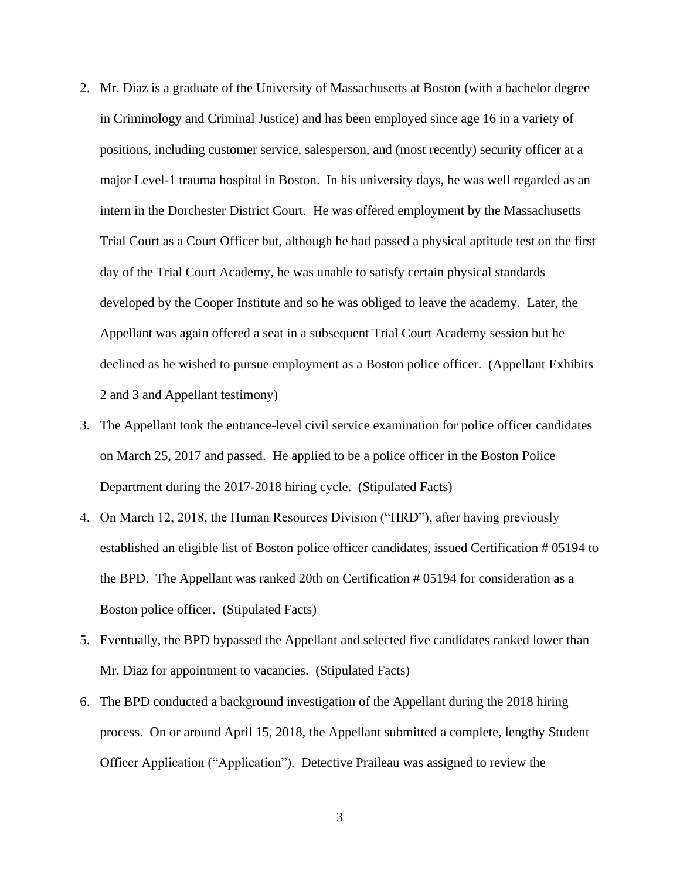- 2. Mr. Diaz is a graduate of the University of Massachusetts at Boston (with a bachelor degree in Criminology and Criminal Justice) and has been employed since age 16 in a variety of positions, including customer service, salesperson, and (most recently) security officer at a major Level-1 trauma hospital in Boston. In his university days, he was well regarded as an intern in the Dorchester District Court. He was offered employment by the Massachusetts Trial Court as a Court Officer but, although he had passed a physical aptitude test on the first day of the Trial Court Academy, he was unable to satisfy certain physical standards developed by the Cooper Institute and so he was obliged to leave the academy. Later, the Appellant was again offered a seat in a subsequent Trial Court Academy session but he declined as he wished to pursue employment as a Boston police officer. (Appellant Exhibits 2 and 3 and Appellant testimony)
- 3. The Appellant took the entrance-level civil service examination for police officer candidates on March 25, 2017 and passed. He applied to be a police officer in the Boston Police Department during the 2017-2018 hiring cycle. (Stipulated Facts)
- 4. On March 12, 2018, the Human Resources Division ("HRD"), after having previously established an eligible list of Boston police officer candidates, issued Certification # 05194 to the BPD. The Appellant was ranked 20th on Certification # 05194 for consideration as a Boston police officer. (Stipulated Facts)
- 5. Eventually, the BPD bypassed the Appellant and selected five candidates ranked lower than Mr. Diaz for appointment to vacancies. (Stipulated Facts)
- 6. The BPD conducted a background investigation of the Appellant during the 2018 hiring process. On or around April 15, 2018, the Appellant submitted a complete, lengthy Student Officer Application ("Application"). Detective Praileau was assigned to review the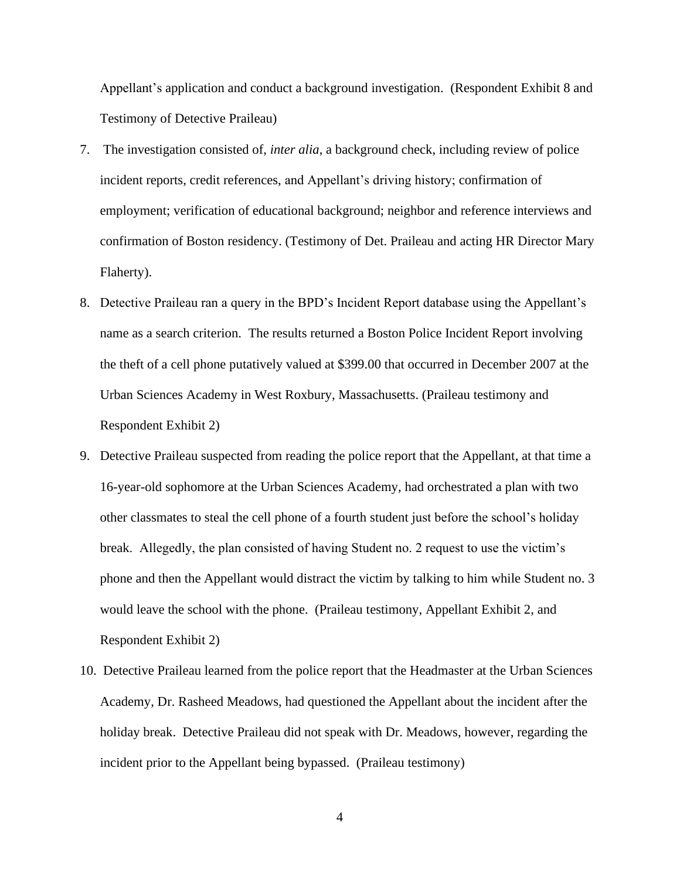Appellant's application and conduct a background investigation. (Respondent Exhibit 8 and Testimony of Detective Praileau)

- 7. The investigation consisted of, *inter alia*, a background check, including review of police incident reports, credit references, and Appellant's driving history; confirmation of employment; verification of educational background; neighbor and reference interviews and confirmation of Boston residency. (Testimony of Det. Praileau and acting HR Director Mary Flaherty).
- 8. Detective Praileau ran a query in the BPD's Incident Report database using the Appellant's name as a search criterion. The results returned a Boston Police Incident Report involving the theft of a cell phone putatively valued at \$399.00 that occurred in December 2007 at the Urban Sciences Academy in West Roxbury, Massachusetts. (Praileau testimony and Respondent Exhibit 2)
- 9. Detective Praileau suspected from reading the police report that the Appellant, at that time a 16-year-old sophomore at the Urban Sciences Academy, had orchestrated a plan with two other classmates to steal the cell phone of a fourth student just before the school's holiday break. Allegedly, the plan consisted of having Student no. 2 request to use the victim's phone and then the Appellant would distract the victim by talking to him while Student no. 3 would leave the school with the phone. (Praileau testimony, Appellant Exhibit 2, and Respondent Exhibit 2)
- 10. Detective Praileau learned from the police report that the Headmaster at the Urban Sciences Academy, Dr. Rasheed Meadows, had questioned the Appellant about the incident after the holiday break. Detective Praileau did not speak with Dr. Meadows, however, regarding the incident prior to the Appellant being bypassed. (Praileau testimony)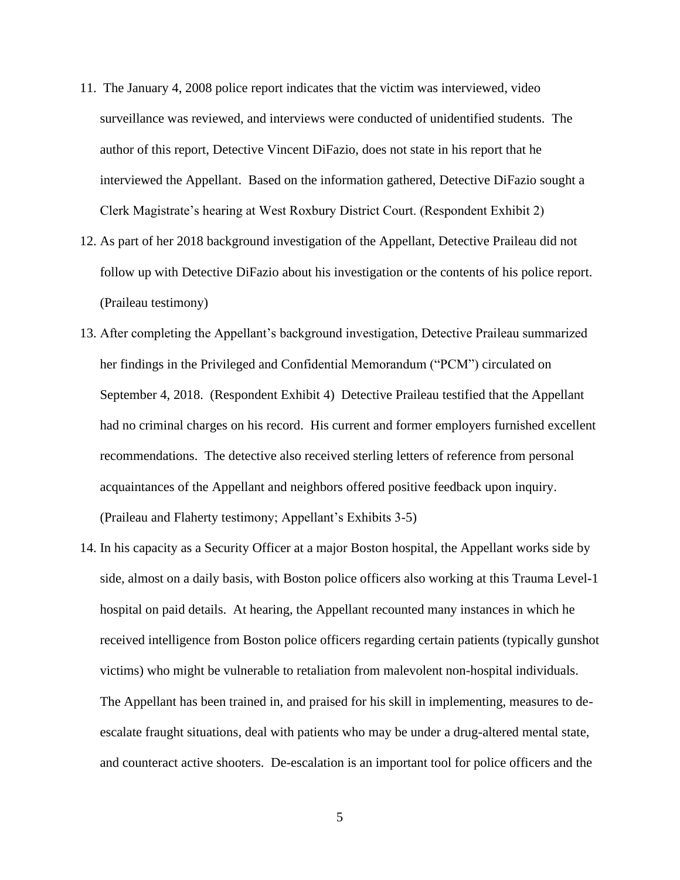- 11. The January 4, 2008 police report indicates that the victim was interviewed, video surveillance was reviewed, and interviews were conducted of unidentified students. The author of this report, Detective Vincent DiFazio, does not state in his report that he interviewed the Appellant. Based on the information gathered, Detective DiFazio sought a Clerk Magistrate's hearing at West Roxbury District Court. (Respondent Exhibit 2)
- 12. As part of her 2018 background investigation of the Appellant, Detective Praileau did not follow up with Detective DiFazio about his investigation or the contents of his police report. (Praileau testimony)
- 13. After completing the Appellant's background investigation, Detective Praileau summarized her findings in the Privileged and Confidential Memorandum ("PCM") circulated on September 4, 2018. (Respondent Exhibit 4) Detective Praileau testified that the Appellant had no criminal charges on his record. His current and former employers furnished excellent recommendations. The detective also received sterling letters of reference from personal acquaintances of the Appellant and neighbors offered positive feedback upon inquiry. (Praileau and Flaherty testimony; Appellant's Exhibits 3-5)
- 14. In his capacity as a Security Officer at a major Boston hospital, the Appellant works side by side, almost on a daily basis, with Boston police officers also working at this Trauma Level-1 hospital on paid details. At hearing, the Appellant recounted many instances in which he received intelligence from Boston police officers regarding certain patients (typically gunshot victims) who might be vulnerable to retaliation from malevolent non-hospital individuals. The Appellant has been trained in, and praised for his skill in implementing, measures to deescalate fraught situations, deal with patients who may be under a drug-altered mental state, and counteract active shooters. De-escalation is an important tool for police officers and the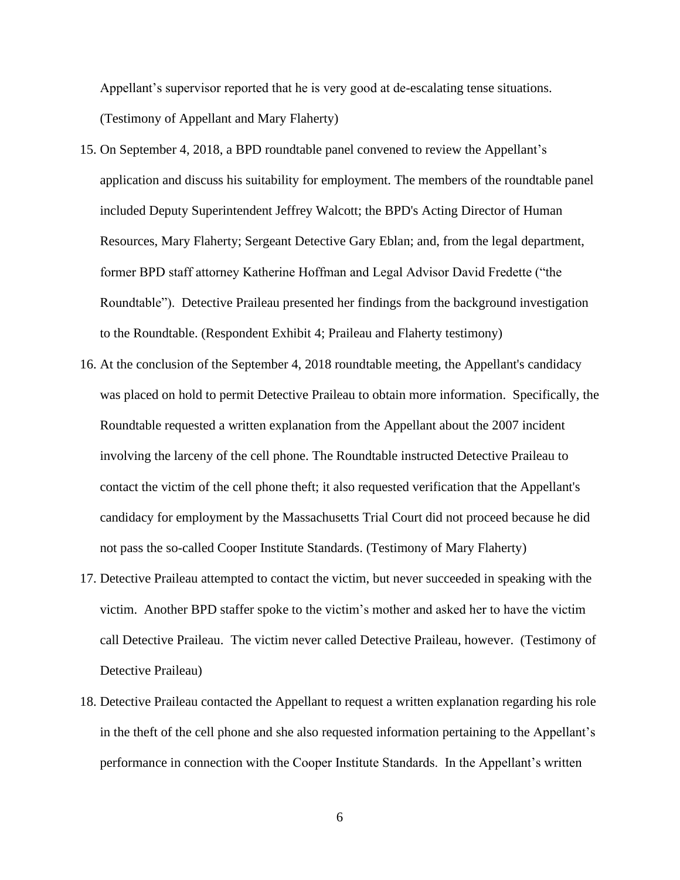Appellant's supervisor reported that he is very good at de-escalating tense situations. (Testimony of Appellant and Mary Flaherty)

- 15. On September 4, 2018, a BPD roundtable panel convened to review the Appellant's application and discuss his suitability for employment. The members of the roundtable panel included Deputy Superintendent Jeffrey Walcott; the BPD's Acting Director of Human Resources, Mary Flaherty; Sergeant Detective Gary Eblan; and, from the legal department, former BPD staff attorney Katherine Hoffman and Legal Advisor David Fredette ("the Roundtable"). Detective Praileau presented her findings from the background investigation to the Roundtable. (Respondent Exhibit 4; Praileau and Flaherty testimony)
- 16. At the conclusion of the September 4, 2018 roundtable meeting, the Appellant's candidacy was placed on hold to permit Detective Praileau to obtain more information. Specifically, the Roundtable requested a written explanation from the Appellant about the 2007 incident involving the larceny of the cell phone. The Roundtable instructed Detective Praileau to contact the victim of the cell phone theft; it also requested verification that the Appellant's candidacy for employment by the Massachusetts Trial Court did not proceed because he did not pass the so-called Cooper Institute Standards. (Testimony of Mary Flaherty)
- 17. Detective Praileau attempted to contact the victim, but never succeeded in speaking with the victim. Another BPD staffer spoke to the victim's mother and asked her to have the victim call Detective Praileau. The victim never called Detective Praileau, however. (Testimony of Detective Praileau)
- 18. Detective Praileau contacted the Appellant to request a written explanation regarding his role in the theft of the cell phone and she also requested information pertaining to the Appellant's performance in connection with the Cooper Institute Standards. In the Appellant's written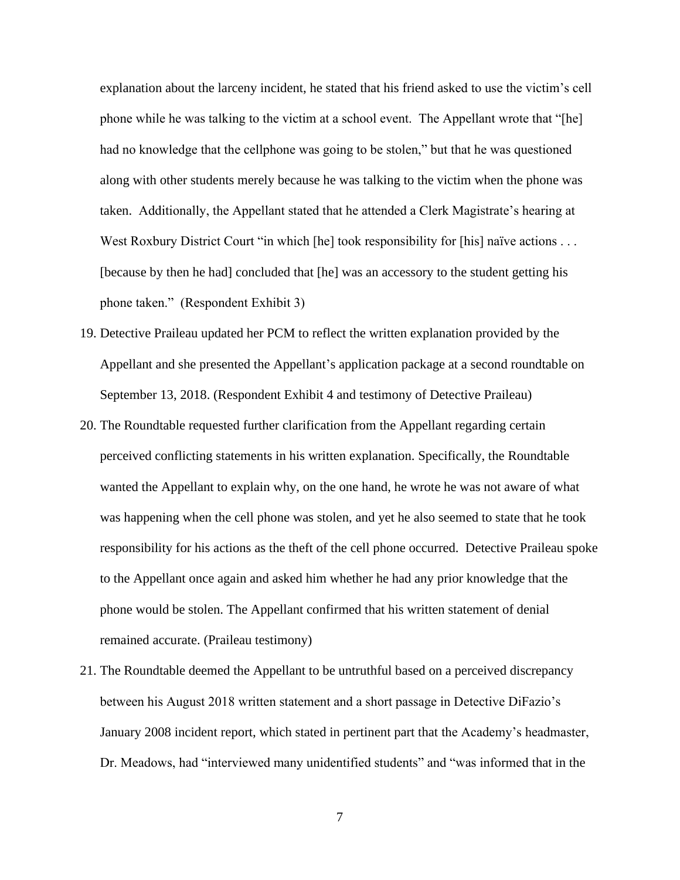explanation about the larceny incident, he stated that his friend asked to use the victim's cell phone while he was talking to the victim at a school event. The Appellant wrote that "[he] had no knowledge that the cellphone was going to be stolen," but that he was questioned along with other students merely because he was talking to the victim when the phone was taken. Additionally, the Appellant stated that he attended a Clerk Magistrate's hearing at West Roxbury District Court "in which [he] took responsibility for [his] naïve actions . . . [because by then he had] concluded that [he] was an accessory to the student getting his phone taken." (Respondent Exhibit 3)

- 19. Detective Praileau updated her PCM to reflect the written explanation provided by the Appellant and she presented the Appellant's application package at a second roundtable on September 13, 2018. (Respondent Exhibit 4 and testimony of Detective Praileau)
- 20. The Roundtable requested further clarification from the Appellant regarding certain perceived conflicting statements in his written explanation. Specifically, the Roundtable wanted the Appellant to explain why, on the one hand, he wrote he was not aware of what was happening when the cell phone was stolen, and yet he also seemed to state that he took responsibility for his actions as the theft of the cell phone occurred. Detective Praileau spoke to the Appellant once again and asked him whether he had any prior knowledge that the phone would be stolen. The Appellant confirmed that his written statement of denial remained accurate. (Praileau testimony)
- 21. The Roundtable deemed the Appellant to be untruthful based on a perceived discrepancy between his August 2018 written statement and a short passage in Detective DiFazio's January 2008 incident report, which stated in pertinent part that the Academy's headmaster, Dr. Meadows, had "interviewed many unidentified students" and "was informed that in the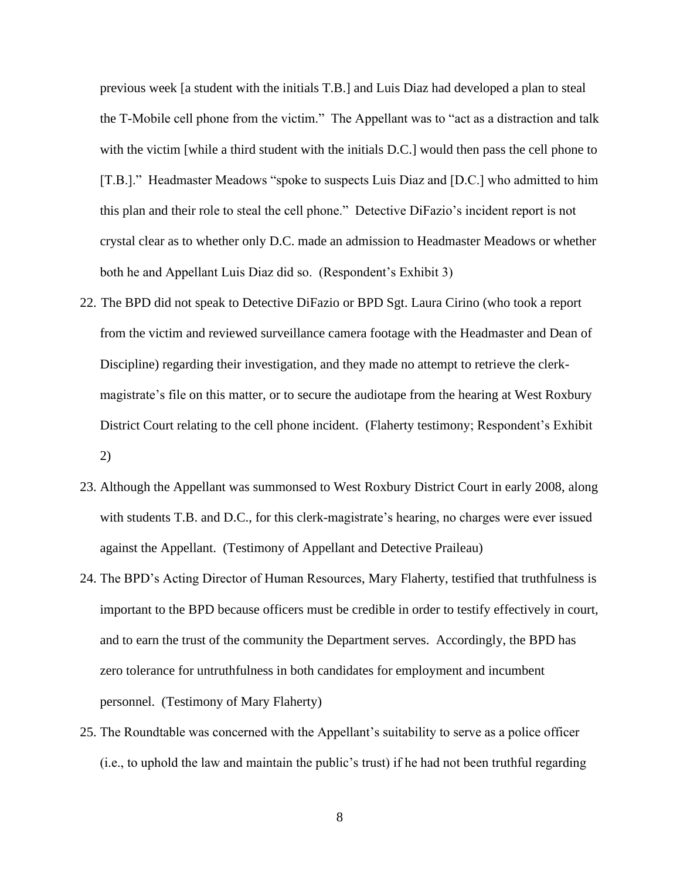previous week [a student with the initials T.B.] and Luis Diaz had developed a plan to steal the T-Mobile cell phone from the victim." The Appellant was to "act as a distraction and talk with the victim [while a third student with the initials D.C.] would then pass the cell phone to [T.B.]." Headmaster Meadows "spoke to suspects Luis Diaz and [D.C.] who admitted to him this plan and their role to steal the cell phone." Detective DiFazio's incident report is not crystal clear as to whether only D.C. made an admission to Headmaster Meadows or whether both he and Appellant Luis Diaz did so. (Respondent's Exhibit 3)

- 22. The BPD did not speak to Detective DiFazio or BPD Sgt. Laura Cirino (who took a report from the victim and reviewed surveillance camera footage with the Headmaster and Dean of Discipline) regarding their investigation, and they made no attempt to retrieve the clerkmagistrate's file on this matter, or to secure the audiotape from the hearing at West Roxbury District Court relating to the cell phone incident. (Flaherty testimony; Respondent's Exhibit 2)
- 23. Although the Appellant was summonsed to West Roxbury District Court in early 2008, along with students T.B. and D.C., for this clerk-magistrate's hearing, no charges were ever issued against the Appellant. (Testimony of Appellant and Detective Praileau)
- 24. The BPD's Acting Director of Human Resources, Mary Flaherty, testified that truthfulness is important to the BPD because officers must be credible in order to testify effectively in court, and to earn the trust of the community the Department serves. Accordingly, the BPD has zero tolerance for untruthfulness in both candidates for employment and incumbent personnel. (Testimony of Mary Flaherty)
- 25. The Roundtable was concerned with the Appellant's suitability to serve as a police officer (i.e., to uphold the law and maintain the public's trust) if he had not been truthful regarding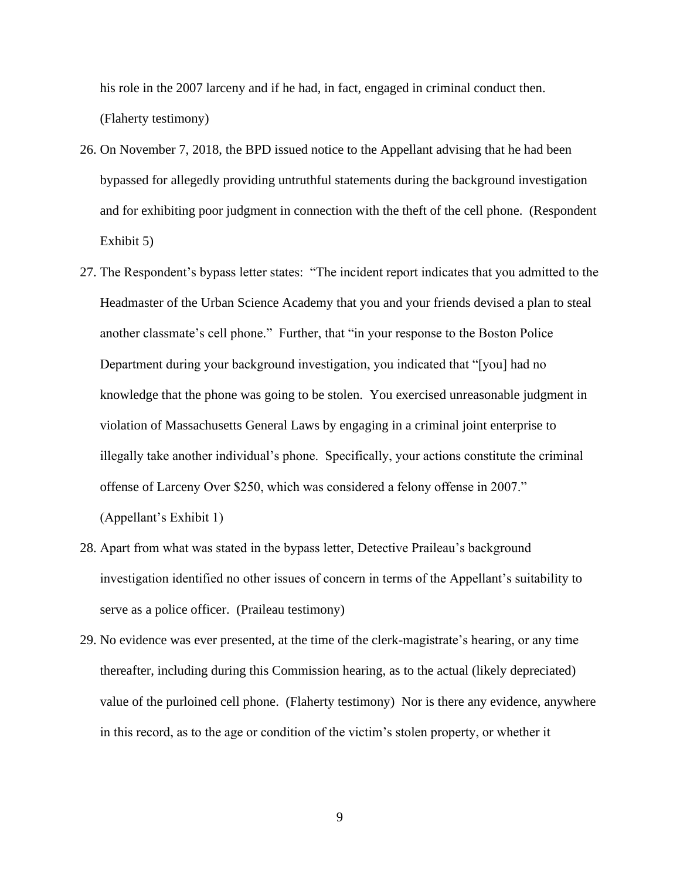his role in the 2007 larceny and if he had, in fact, engaged in criminal conduct then. (Flaherty testimony)

- 26. On November 7, 2018, the BPD issued notice to the Appellant advising that he had been bypassed for allegedly providing untruthful statements during the background investigation and for exhibiting poor judgment in connection with the theft of the cell phone. (Respondent Exhibit 5)
- 27. The Respondent's bypass letter states: "The incident report indicates that you admitted to the Headmaster of the Urban Science Academy that you and your friends devised a plan to steal another classmate's cell phone." Further, that "in your response to the Boston Police Department during your background investigation, you indicated that "[you] had no knowledge that the phone was going to be stolen. You exercised unreasonable judgment in violation of Massachusetts General Laws by engaging in a criminal joint enterprise to illegally take another individual's phone. Specifically, your actions constitute the criminal offense of Larceny Over \$250, which was considered a felony offense in 2007." (Appellant's Exhibit 1)
- 28. Apart from what was stated in the bypass letter, Detective Praileau's background investigation identified no other issues of concern in terms of the Appellant's suitability to serve as a police officer. (Praileau testimony)
- 29. No evidence was ever presented, at the time of the clerk-magistrate's hearing, or any time thereafter, including during this Commission hearing, as to the actual (likely depreciated) value of the purloined cell phone. (Flaherty testimony) Nor is there any evidence, anywhere in this record, as to the age or condition of the victim's stolen property, or whether it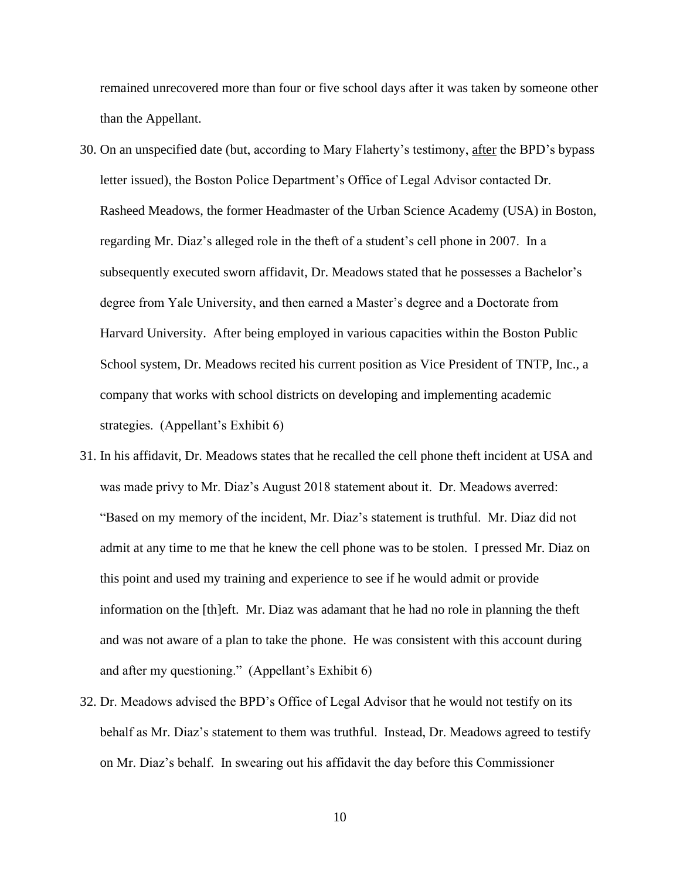remained unrecovered more than four or five school days after it was taken by someone other than the Appellant.

- 30. On an unspecified date (but, according to Mary Flaherty's testimony, after the BPD's bypass letter issued), the Boston Police Department's Office of Legal Advisor contacted Dr. Rasheed Meadows, the former Headmaster of the Urban Science Academy (USA) in Boston, regarding Mr. Diaz's alleged role in the theft of a student's cell phone in 2007. In a subsequently executed sworn affidavit, Dr. Meadows stated that he possesses a Bachelor's degree from Yale University, and then earned a Master's degree and a Doctorate from Harvard University. After being employed in various capacities within the Boston Public School system, Dr. Meadows recited his current position as Vice President of TNTP, Inc., a company that works with school districts on developing and implementing academic strategies. (Appellant's Exhibit 6)
- 31. In his affidavit, Dr. Meadows states that he recalled the cell phone theft incident at USA and was made privy to Mr. Diaz's August 2018 statement about it. Dr. Meadows averred: "Based on my memory of the incident, Mr. Diaz's statement is truthful. Mr. Diaz did not admit at any time to me that he knew the cell phone was to be stolen. I pressed Mr. Diaz on this point and used my training and experience to see if he would admit or provide information on the [th]eft. Mr. Diaz was adamant that he had no role in planning the theft and was not aware of a plan to take the phone. He was consistent with this account during and after my questioning." (Appellant's Exhibit 6)
- 32. Dr. Meadows advised the BPD's Office of Legal Advisor that he would not testify on its behalf as Mr. Diaz's statement to them was truthful. Instead, Dr. Meadows agreed to testify on Mr. Diaz's behalf. In swearing out his affidavit the day before this Commissioner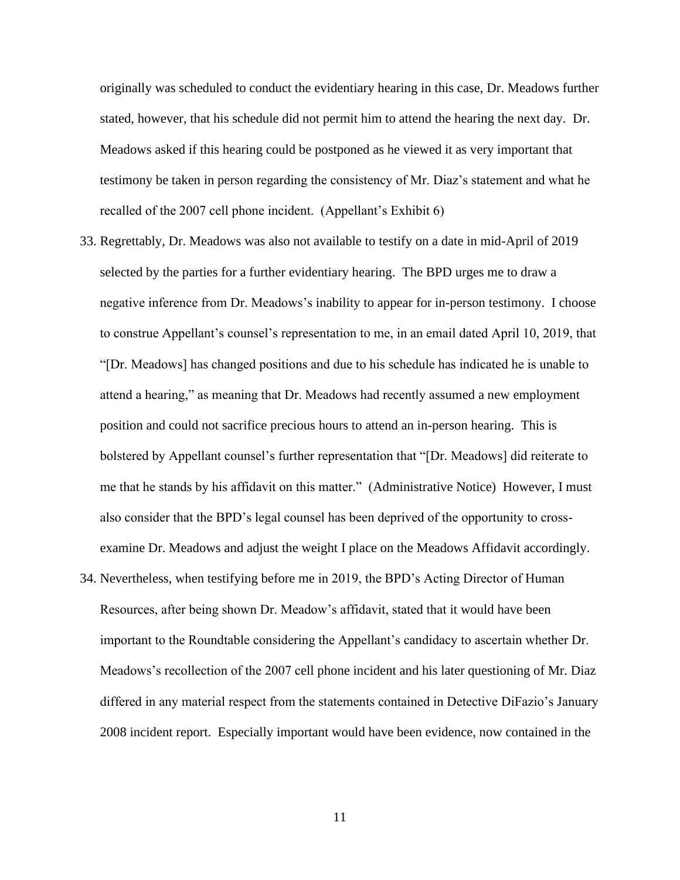originally was scheduled to conduct the evidentiary hearing in this case, Dr. Meadows further stated, however, that his schedule did not permit him to attend the hearing the next day. Dr. Meadows asked if this hearing could be postponed as he viewed it as very important that testimony be taken in person regarding the consistency of Mr. Diaz's statement and what he recalled of the 2007 cell phone incident. (Appellant's Exhibit 6)

- 33. Regrettably, Dr. Meadows was also not available to testify on a date in mid-April of 2019 selected by the parties for a further evidentiary hearing. The BPD urges me to draw a negative inference from Dr. Meadows's inability to appear for in-person testimony. I choose to construe Appellant's counsel's representation to me, in an email dated April 10, 2019, that "[Dr. Meadows] has changed positions and due to his schedule has indicated he is unable to attend a hearing," as meaning that Dr. Meadows had recently assumed a new employment position and could not sacrifice precious hours to attend an in-person hearing. This is bolstered by Appellant counsel's further representation that "[Dr. Meadows] did reiterate to me that he stands by his affidavit on this matter." (Administrative Notice) However, I must also consider that the BPD's legal counsel has been deprived of the opportunity to crossexamine Dr. Meadows and adjust the weight I place on the Meadows Affidavit accordingly.
- 34. Nevertheless, when testifying before me in 2019, the BPD's Acting Director of Human Resources, after being shown Dr. Meadow's affidavit, stated that it would have been important to the Roundtable considering the Appellant's candidacy to ascertain whether Dr. Meadows's recollection of the 2007 cell phone incident and his later questioning of Mr. Diaz differed in any material respect from the statements contained in Detective DiFazio's January 2008 incident report. Especially important would have been evidence, now contained in the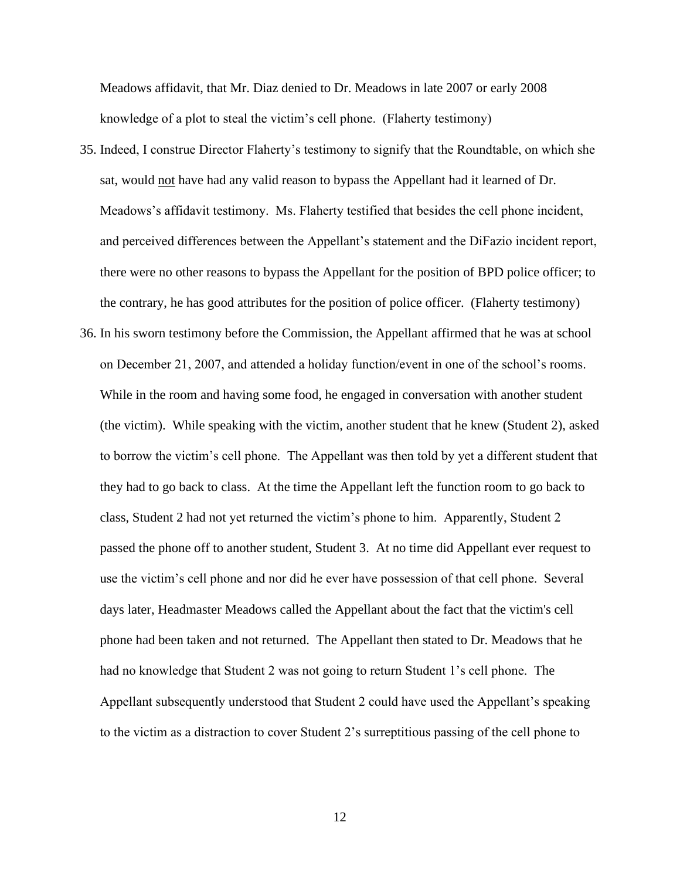Meadows affidavit, that Mr. Diaz denied to Dr. Meadows in late 2007 or early 2008 knowledge of a plot to steal the victim's cell phone. (Flaherty testimony)

- 35. Indeed, I construe Director Flaherty's testimony to signify that the Roundtable, on which she sat, would not have had any valid reason to bypass the Appellant had it learned of Dr. Meadows's affidavit testimony. Ms. Flaherty testified that besides the cell phone incident, and perceived differences between the Appellant's statement and the DiFazio incident report, there were no other reasons to bypass the Appellant for the position of BPD police officer; to the contrary, he has good attributes for the position of police officer. (Flaherty testimony)
- 36. In his sworn testimony before the Commission, the Appellant affirmed that he was at school on December 21, 2007, and attended a holiday function/event in one of the school's rooms. While in the room and having some food, he engaged in conversation with another student (the victim). While speaking with the victim, another student that he knew (Student 2), asked to borrow the victim's cell phone. The Appellant was then told by yet a different student that they had to go back to class. At the time the Appellant left the function room to go back to class, Student 2 had not yet returned the victim's phone to him. Apparently, Student 2 passed the phone off to another student, Student 3. At no time did Appellant ever request to use the victim's cell phone and nor did he ever have possession of that cell phone. Several days later, Headmaster Meadows called the Appellant about the fact that the victim's cell phone had been taken and not returned. The Appellant then stated to Dr. Meadows that he had no knowledge that Student 2 was not going to return Student 1's cell phone. The Appellant subsequently understood that Student 2 could have used the Appellant's speaking to the victim as a distraction to cover Student 2's surreptitious passing of the cell phone to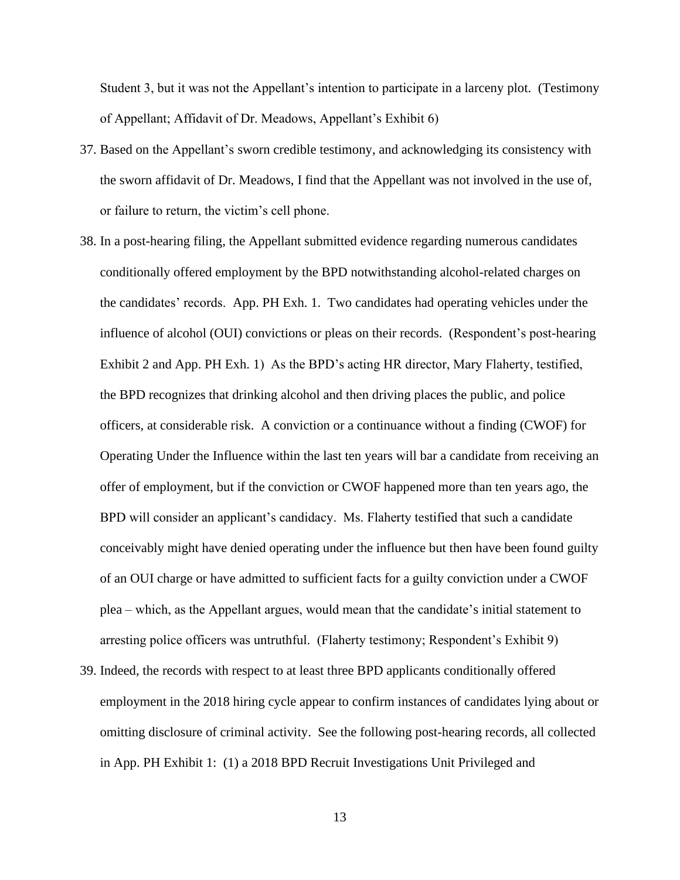Student 3, but it was not the Appellant's intention to participate in a larceny plot. (Testimony of Appellant; Affidavit of Dr. Meadows, Appellant's Exhibit 6)

- 37. Based on the Appellant's sworn credible testimony, and acknowledging its consistency with the sworn affidavit of Dr. Meadows, I find that the Appellant was not involved in the use of, or failure to return, the victim's cell phone.
- 38. In a post-hearing filing, the Appellant submitted evidence regarding numerous candidates conditionally offered employment by the BPD notwithstanding alcohol-related charges on the candidates' records. App. PH Exh. 1. Two candidates had operating vehicles under the influence of alcohol (OUI) convictions or pleas on their records. (Respondent's post-hearing Exhibit 2 and App. PH Exh. 1) As the BPD's acting HR director, Mary Flaherty, testified, the BPD recognizes that drinking alcohol and then driving places the public, and police officers, at considerable risk. A conviction or a continuance without a finding (CWOF) for Operating Under the Influence within the last ten years will bar a candidate from receiving an offer of employment, but if the conviction or CWOF happened more than ten years ago, the BPD will consider an applicant's candidacy. Ms. Flaherty testified that such a candidate conceivably might have denied operating under the influence but then have been found guilty of an OUI charge or have admitted to sufficient facts for a guilty conviction under a CWOF plea – which, as the Appellant argues, would mean that the candidate's initial statement to arresting police officers was untruthful. (Flaherty testimony; Respondent's Exhibit 9)
- 39. Indeed, the records with respect to at least three BPD applicants conditionally offered employment in the 2018 hiring cycle appear to confirm instances of candidates lying about or omitting disclosure of criminal activity. See the following post-hearing records, all collected in App. PH Exhibit 1: (1) a 2018 BPD Recruit Investigations Unit Privileged and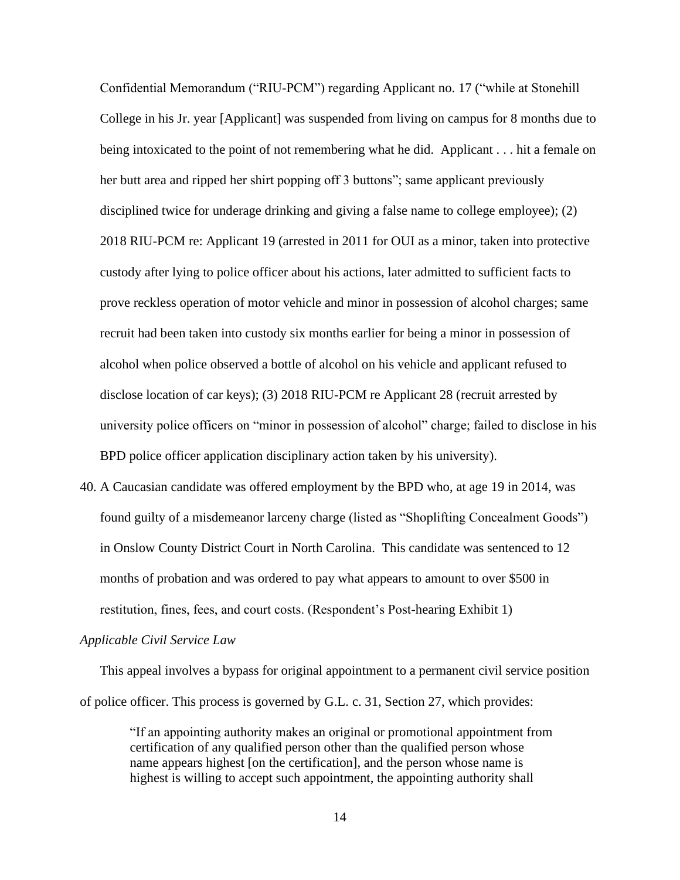Confidential Memorandum ("RIU-PCM") regarding Applicant no. 17 ("while at Stonehill College in his Jr. year [Applicant] was suspended from living on campus for 8 months due to being intoxicated to the point of not remembering what he did. Applicant . . . hit a female on her butt area and ripped her shirt popping off 3 buttons"; same applicant previously disciplined twice for underage drinking and giving a false name to college employee); (2) 2018 RIU-PCM re: Applicant 19 (arrested in 2011 for OUI as a minor, taken into protective custody after lying to police officer about his actions, later admitted to sufficient facts to prove reckless operation of motor vehicle and minor in possession of alcohol charges; same recruit had been taken into custody six months earlier for being a minor in possession of alcohol when police observed a bottle of alcohol on his vehicle and applicant refused to disclose location of car keys); (3) 2018 RIU-PCM re Applicant 28 (recruit arrested by university police officers on "minor in possession of alcohol" charge; failed to disclose in his BPD police officer application disciplinary action taken by his university).

40. A Caucasian candidate was offered employment by the BPD who, at age 19 in 2014, was found guilty of a misdemeanor larceny charge (listed as "Shoplifting Concealment Goods") in Onslow County District Court in North Carolina. This candidate was sentenced to 12 months of probation and was ordered to pay what appears to amount to over \$500 in restitution, fines, fees, and court costs. (Respondent's Post-hearing Exhibit 1)

#### *Applicable Civil Service Law*

This appeal involves a bypass for original appointment to a permanent civil service position of police officer. This process is governed by G.L. c. 31, Section 27, which provides:

"If an appointing authority makes an original or promotional appointment from certification of any qualified person other than the qualified person whose name appears highest [on the certification], and the person whose name is highest is willing to accept such appointment, the appointing authority shall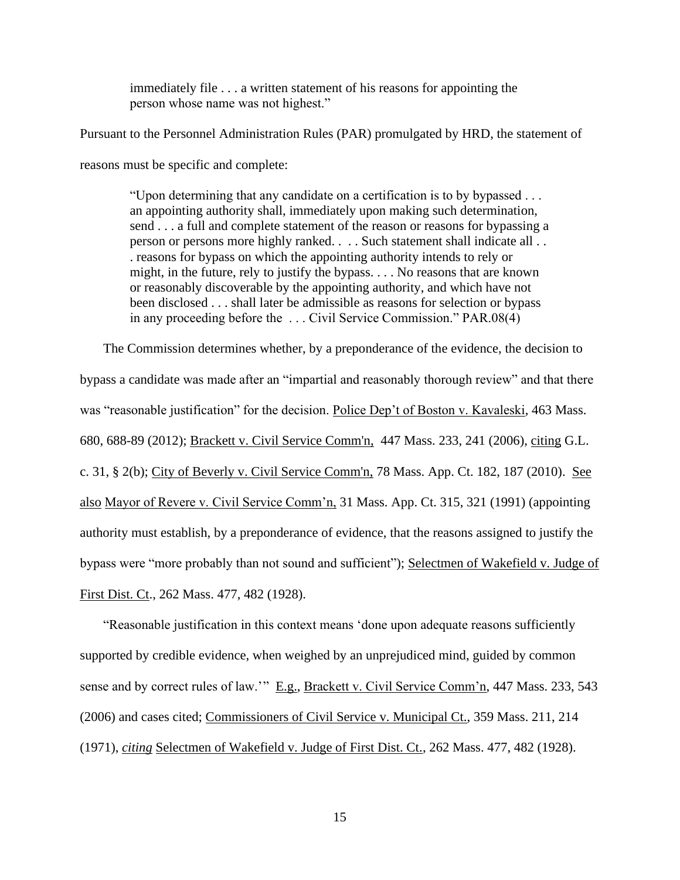immediately file . . . a written statement of his reasons for appointing the person whose name was not highest."

Pursuant to the Personnel Administration Rules (PAR) promulgated by HRD, the statement of

reasons must be specific and complete:

"Upon determining that any candidate on a certification is to by bypassed . . . an appointing authority shall, immediately upon making such determination, send . . . a full and complete statement of the reason or reasons for bypassing a person or persons more highly ranked. . . . Such statement shall indicate all . . . reasons for bypass on which the appointing authority intends to rely or might, in the future, rely to justify the bypass. . . . No reasons that are known or reasonably discoverable by the appointing authority, and which have not been disclosed . . . shall later be admissible as reasons for selection or bypass in any proceeding before the . . . Civil Service Commission." PAR.08(4)

The Commission determines whether, by a preponderance of the evidence, the decision to bypass a candidate was made after an "impartial and reasonably thorough review" and that there was "reasonable justification" for the decision. Police Dep't of Boston v. Kavaleski, 463 Mass. 680, 688-89 (2012); [Brackett v. Civil Service Comm'n, 447 Mass. 233, 241 \(2006\)](http://web2.westlaw.com/find/default.wl?mt=Massachusetts&db=578&rs=WLW15.04&tc=-1&rp=%2ffind%2fdefault.wl&findtype=Y&ordoc=2029136022&serialnum=2009543382&vr=2.0&fn=_top&sv=Split&tf=-1&pbc=70F732C1&utid=1), citing [G.L.](http://web2.westlaw.com/find/default.wl?mt=Massachusetts&db=1000042&rs=WLW15.04&docname=MAST31S2&rp=%2ffind%2fdefault.wl&findtype=L&ordoc=2029136022&tc=-1&vr=2.0&fn=_top&sv=Split&tf=-1&pbc=70F732C1&utid=1) c. 31, [§ 2\(b\);](http://web2.westlaw.com/find/default.wl?mt=Massachusetts&db=1000042&rs=WLW15.04&docname=MAST31S2&rp=%2ffind%2fdefault.wl&findtype=L&ordoc=2029136022&tc=-1&vr=2.0&fn=_top&sv=Split&tf=-1&pbc=70F732C1&utid=1) City of [Beverly v. Civil Service Comm'n,](http://web2.westlaw.com/find/default.wl?mt=Massachusetts&db=578&rs=WLW15.04&tc=-1&rp=%2ffind%2fdefault.wl&findtype=Y&ordoc=2029136022&serialnum=2023501172&vr=2.0&fn=_top&sv=Split&tf=-1&pbc=70F732C1&utid=1) 78 Mass. App. Ct. 182, 187 (2010). See also Mayor of Revere v. Civil Service Comm'n, 31 Mass. App. Ct. 315, 321 (1991) (appointing authority must establish, by a preponderance of evidence, that the reasons assigned to justify the bypass were "more probably than not sound and sufficient"); Selectmen of Wakefield v. Judge of First Dist. Ct., 262 Mass. 477, 482 (1928).

"Reasonable justification in this context means 'done upon adequate reasons sufficiently supported by credible evidence, when weighed by an unprejudiced mind, guided by common sense and by correct rules of law.'" E.g., Brackett v. Civil Service Comm'n, 447 Mass. 233, 543 (2006) and cases cited; Commissioners of Civil Service v. Municipal Ct., 359 Mass. 211, 214 (1971), *citing* Selectmen of Wakefield v. Judge of First Dist. Ct., 262 Mass. 477, 482 (1928).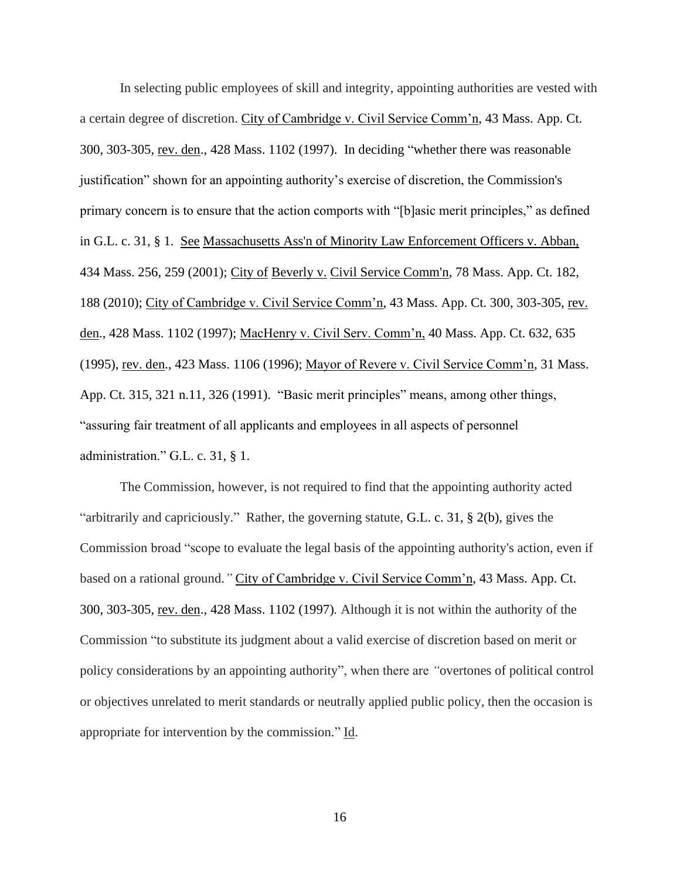In selecting public employees of skill and integrity, appointing authorities are vested with a certain degree of discretion. City of Cambridge v. Civil Service Comm'n, 43 Mass. App. Ct. 300, 303-305, rev. den., 428 Mass. 1102 (1997). In deciding "whether there was reasonable justification" shown for an appointing authority's exercise of discretion, the Commission's primary concern is to ensure that the action comports with "[b]asic merit principles," as defined in [G.L.](http://web2.westlaw.com/find/default.wl?mt=Massachusetts&db=1000042&rs=WLW15.04&docname=MAST31S1&rp=%2ffind%2fdefault.wl&findtype=L&ordoc=2029136022&tc=-1&vr=2.0&fn=_top&sv=Split&tf=-1&pbc=70F732C1&utid=1) c. 31, § 1. See [Massachusetts Ass'n of Minority Law Enforcement Officers v. Abban,](http://web2.westlaw.com/find/default.wl?mt=Massachusetts&db=578&rs=WLW15.04&tc=-1&rp=%2ffind%2fdefault.wl&findtype=Y&ordoc=2029136022&serialnum=2001441097&vr=2.0&fn=_top&sv=Split&tf=-1&pbc=70F732C1&utid=1) [434 Mass. 256, 259 \(2001\);](http://web2.westlaw.com/find/default.wl?mt=Massachusetts&db=578&rs=WLW15.04&tc=-1&rp=%2ffind%2fdefault.wl&findtype=Y&ordoc=2029136022&serialnum=2001441097&vr=2.0&fn=_top&sv=Split&tf=-1&pbc=70F732C1&utid=1) City of Beverly v. [Civil Service Comm'n, 78 Mass.](http://web2.westlaw.com/find/default.wl?mt=Massachusetts&db=578&rs=WLW15.04&tc=-1&rp=%2ffind%2fdefault.wl&findtype=Y&ordoc=2029136022&serialnum=2023501172&vr=2.0&fn=_top&sv=Split&tf=-1&pbc=70F732C1&utid=1) App. Ct. 182, 188 [\(2010\);](http://web2.westlaw.com/find/default.wl?mt=Massachusetts&db=578&rs=WLW15.04&tc=-1&rp=%2ffind%2fdefault.wl&findtype=Y&ordoc=2029136022&serialnum=2023501172&vr=2.0&fn=_top&sv=Split&tf=-1&pbc=70F732C1&utid=1) City of Cambridge v. Civil Service Comm'n, 43 Mass. App. Ct. 300, 303-305, rev. den., 428 Mass. 1102 (1997); MacHenry v. Civil Serv. Comm'n, 40 Mass. App. Ct. 632, 635 (1995), rev. den., 423 Mass. 1106 (1996); Mayor of Revere v. Civil Service Comm'n, 31 Mass. App. Ct. 315, 321 n.11, 326 (1991). "Basic merit principles" means, among other things, "assuring fair treatment of all applicants and employees in all aspects of personnel administration." G.L. c. 31, § 1.

The Commission, however, is not required to find that the appointing authority acted "arbitrarily and capriciously." Rather, the governing statute, [G.L.](https://1.next.westlaw.com/Link/Document/FullText?findType=L&pubNum=1000042&cite=MAST31S2&originatingDoc=Ib21af0ded3bd11d99439b076ef9ec4de&refType=LQ&originationContext=document&transitionType=DocumentItem&contextData=(sc.History*oc.UserEnteredCitation)) c. 31, § 2(b), gives the Commission broad "scope to evaluate the legal basis of the appointing authority's action, even if based on a rational ground.*"* City of Cambridge v. Civil Service Comm'n, 43 Mass. App. Ct. 300, 303-305, rev. den., 428 Mass. 1102 (1997)*.* Although it is not within the authority of the Commission "to substitute its judgment about a valid exercise of discretion based on merit or policy considerations by an appointing authority", when there are *"*overtones of political control or objectives unrelated to merit standards or neutrally applied public policy, then the occasion is appropriate for intervention by the commission." Id.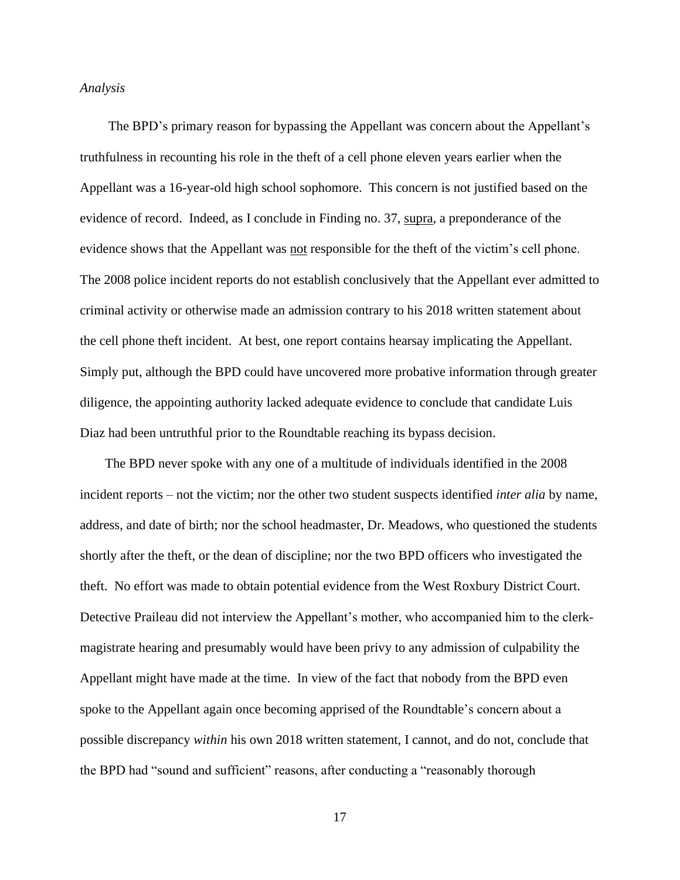#### *Analysis*

The BPD's primary reason for bypassing the Appellant was concern about the Appellant's truthfulness in recounting his role in the theft of a cell phone eleven years earlier when the Appellant was a 16-year-old high school sophomore. This concern is not justified based on the evidence of record. Indeed, as I conclude in Finding no. 37, supra, a preponderance of the evidence shows that the Appellant was not responsible for the theft of the victim's cell phone. The 2008 police incident reports do not establish conclusively that the Appellant ever admitted to criminal activity or otherwise made an admission contrary to his 2018 written statement about the cell phone theft incident. At best, one report contains hearsay implicating the Appellant. Simply put, although the BPD could have uncovered more probative information through greater diligence, the appointing authority lacked adequate evidence to conclude that candidate Luis Diaz had been untruthful prior to the Roundtable reaching its bypass decision.

The BPD never spoke with any one of a multitude of individuals identified in the 2008 incident reports – not the victim; nor the other two student suspects identified *inter alia* by name, address, and date of birth; nor the school headmaster, Dr. Meadows, who questioned the students shortly after the theft, or the dean of discipline; nor the two BPD officers who investigated the theft. No effort was made to obtain potential evidence from the West Roxbury District Court. Detective Praileau did not interview the Appellant's mother, who accompanied him to the clerkmagistrate hearing and presumably would have been privy to any admission of culpability the Appellant might have made at the time. In view of the fact that nobody from the BPD even spoke to the Appellant again once becoming apprised of the Roundtable's concern about a possible discrepancy *within* his own 2018 written statement, I cannot, and do not, conclude that the BPD had "sound and sufficient" reasons, after conducting a "reasonably thorough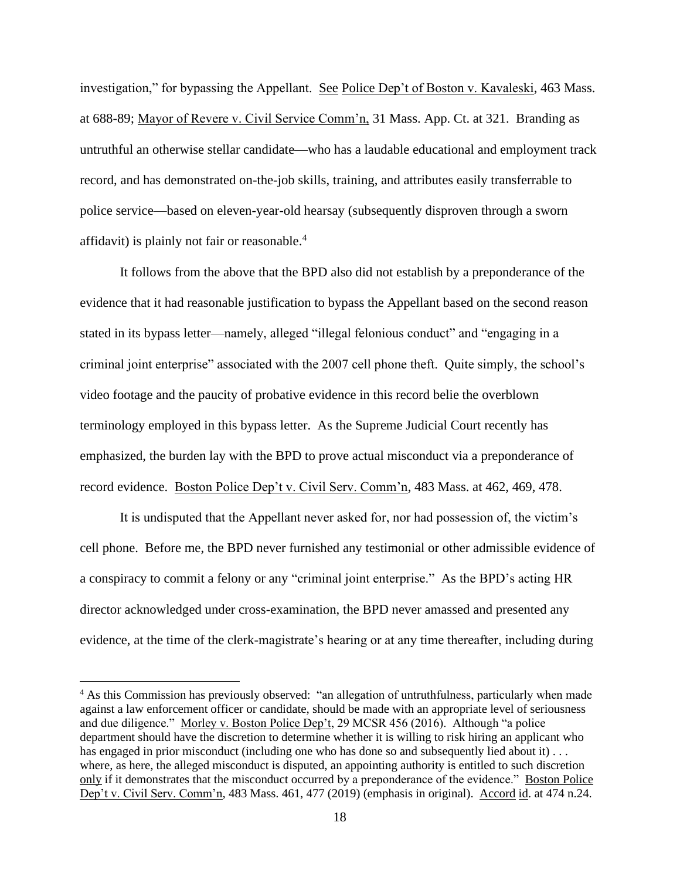investigation," for bypassing the Appellant. See Police Dep't of Boston v. Kavaleski, 463 Mass. at 688-89; Mayor of Revere v. Civil Service Comm'n, 31 Mass. App. Ct. at 321. Branding as untruthful an otherwise stellar candidate—who has a laudable educational and employment track record, and has demonstrated on-the-job skills, training, and attributes easily transferrable to police service—based on eleven-year-old hearsay (subsequently disproven through a sworn affidavit) is plainly not fair or reasonable.<sup>4</sup>

 It follows from the above that the BPD also did not establish by a preponderance of the evidence that it had reasonable justification to bypass the Appellant based on the second reason stated in its bypass letter—namely, alleged "illegal felonious conduct" and "engaging in a criminal joint enterprise" associated with the 2007 cell phone theft. Quite simply, the school's video footage and the paucity of probative evidence in this record belie the overblown terminology employed in this bypass letter. As the Supreme Judicial Court recently has emphasized, the burden lay with the BPD to prove actual misconduct via a preponderance of record evidence. Boston Police Dep't v. Civil Serv. Comm'n, 483 Mass. at 462, 469, 478.

It is undisputed that the Appellant never asked for, nor had possession of, the victim's cell phone. Before me, the BPD never furnished any testimonial or other admissible evidence of a conspiracy to commit a felony or any "criminal joint enterprise." As the BPD's acting HR director acknowledged under cross-examination, the BPD never amassed and presented any evidence, at the time of the clerk-magistrate's hearing or at any time thereafter, including during

<sup>&</sup>lt;sup>4</sup> As this Commission has previously observed: "an allegation of untruthfulness, particularly when made against a law enforcement officer or candidate, should be made with an appropriate level of seriousness and due diligence." Morley v. Boston Police Dep't, 29 MCSR 456 (2016). Although "a police department should have the discretion to determine whether it is willing to risk hiring an applicant who has engaged in prior misconduct (including one who has done so and subsequently lied about it)... where, as here, the alleged misconduct is disputed, an appointing authority is entitled to such discretion only if it demonstrates that the misconduct occurred by a preponderance of the evidence." Boston Police Dep't v. Civil Serv. Comm'n, 483 Mass. 461, 477 (2019) (emphasis in original). Accord id. at 474 n.24.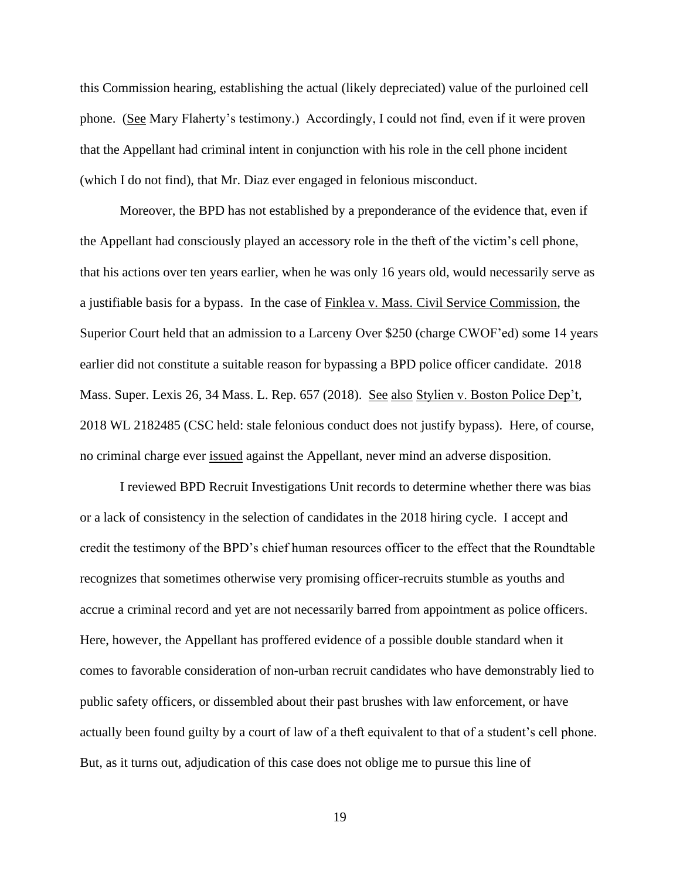this Commission hearing, establishing the actual (likely depreciated) value of the purloined cell phone. (See Mary Flaherty's testimony.) Accordingly, I could not find, even if it were proven that the Appellant had criminal intent in conjunction with his role in the cell phone incident (which I do not find), that Mr. Diaz ever engaged in felonious misconduct.

 Moreover, the BPD has not established by a preponderance of the evidence that, even if the Appellant had consciously played an accessory role in the theft of the victim's cell phone, that his actions over ten years earlier, when he was only 16 years old, would necessarily serve as a justifiable basis for a bypass. In the case of Finklea v. Mass. Civil Service Commission, the Superior Court held that an admission to a Larceny Over \$250 (charge CWOF'ed) some 14 years earlier did not constitute a suitable reason for bypassing a BPD police officer candidate. 2018 Mass. Super. Lexis 26, 34 Mass. L. Rep. 657 (2018). See also Stylien v. Boston Police Dep't, 2018 WL 2182485 (CSC held: stale felonious conduct does not justify bypass). Here, of course, no criminal charge ever issued against the Appellant, never mind an adverse disposition.

I reviewed BPD Recruit Investigations Unit records to determine whether there was bias or a lack of consistency in the selection of candidates in the 2018 hiring cycle. I accept and credit the testimony of the BPD's chief human resources officer to the effect that the Roundtable recognizes that sometimes otherwise very promising officer-recruits stumble as youths and accrue a criminal record and yet are not necessarily barred from appointment as police officers. Here, however, the Appellant has proffered evidence of a possible double standard when it comes to favorable consideration of non-urban recruit candidates who have demonstrably lied to public safety officers, or dissembled about their past brushes with law enforcement, or have actually been found guilty by a court of law of a theft equivalent to that of a student's cell phone. But, as it turns out, adjudication of this case does not oblige me to pursue this line of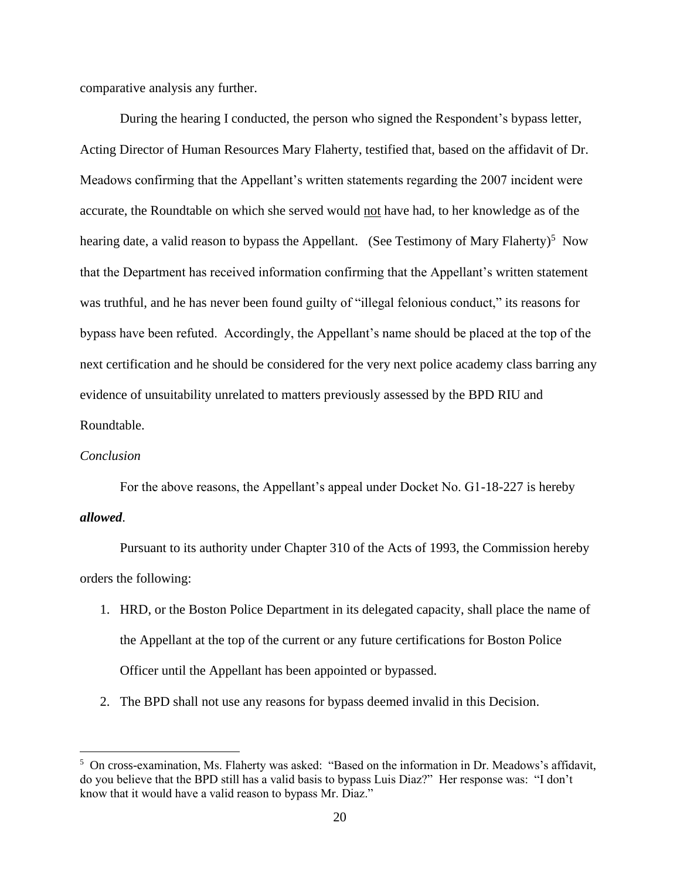comparative analysis any further.

During the hearing I conducted, the person who signed the Respondent's bypass letter, Acting Director of Human Resources Mary Flaherty, testified that, based on the affidavit of Dr. Meadows confirming that the Appellant's written statements regarding the 2007 incident were accurate, the Roundtable on which she served would not have had, to her knowledge as of the hearing date, a valid reason to bypass the Appellant. (See Testimony of Mary Flaherty)<sup>5</sup> Now that the Department has received information confirming that the Appellant's written statement was truthful, and he has never been found guilty of "illegal felonious conduct," its reasons for bypass have been refuted. Accordingly, the Appellant's name should be placed at the top of the next certification and he should be considered for the very next police academy class barring any evidence of unsuitability unrelated to matters previously assessed by the BPD RIU and Roundtable.

#### *Conclusion*

For the above reasons, the Appellant's appeal under Docket No. G1-18-227 is hereby *allowed*.

 Pursuant to its authority under Chapter 310 of the Acts of 1993, the Commission hereby orders the following:

- 1. HRD, or the Boston Police Department in its delegated capacity, shall place the name of the Appellant at the top of the current or any future certifications for Boston Police Officer until the Appellant has been appointed or bypassed.
- 2. The BPD shall not use any reasons for bypass deemed invalid in this Decision.

<sup>&</sup>lt;sup>5</sup> On cross-examination, Ms. Flaherty was asked: "Based on the information in Dr. Meadows's affidavit, do you believe that the BPD still has a valid basis to bypass Luis Diaz?" Her response was: "I don't know that it would have a valid reason to bypass Mr. Diaz."